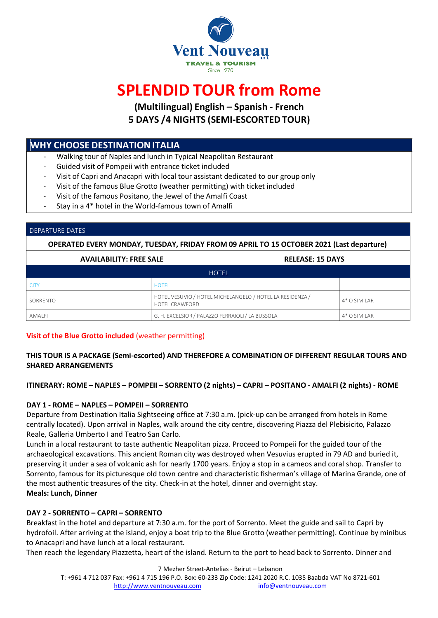

# **SPLENDID TOUR from Rome**

**(Multilingual) English – Spanish - French 5 DAYS /4 NIGHTS (SEMI-ESCORTEDTOUR)**

## **WHY CHOOSE DESTINATIONITALIA**

- Walking tour of Naples and lunch in Typical Neapolitan Restaurant
- Guided visit of Pompeii with entrance ticket included
- Visit of Capri and Anacapri with local tour assistant dedicated to our group only
- Visit of the famous Blue Grotto (weather permitting) with ticket included
- Visit of the famous Positano, the Jewel of the Amalfi Coast
- Stay in a 4\* hotel in the World-famous town of Amalfi

#### DEPARTURE DATES

**OPERATED EVERY MONDAY, TUESDAY, FRIDAY FROM 09 APRIL TO 15 OCTOBER 2021 (Last departure)**

| <b>AVAILABILITY: FREE SALE</b> |                                                                                    | <b>RELEASE: 15 DAYS</b> |                |  |  |
|--------------------------------|------------------------------------------------------------------------------------|-------------------------|----------------|--|--|
| <b>HOTEL</b>                   |                                                                                    |                         |                |  |  |
| <b>CITY</b>                    | <b>HOTFI</b>                                                                       |                         |                |  |  |
| SORRENTO                       | HOTEL VESUVIO / HOTEL MICHELANGELO / HOTEL LA RESIDENZA /<br><b>HOTEL CRAWFORD</b> |                         | $4*$ O SIMILAR |  |  |
| AMALFI                         | G. H. EXCELSIOR / PALAZZO FERRAIOLI / LA BUSSOLA                                   |                         | 4* O SIMILAR   |  |  |

### **Visit of the Blue Grotto included** (weather permitting)

### **THIS TOUR IS A PACKAGE (Semi-escorted) AND THEREFORE A COMBINATION OF DIFFERENT REGULAR TOURS AND SHARED ARRANGEMENTS**

ITINERARY: ROME - NAPLES - POMPEII - SORRENTO (2 nights) - CAPRI - POSITANO - AMALFI (2 nights) - ROME

### **DAY 1 - ROME – NAPLES – POMPEII – SORRENTO**

Departure from Destination Italia Sightseeing office at 7:30 a.m. (pick-up can be arranged from hotels in Rome centrally located). Upon arrival in Naples, walk around the city centre, discovering Piazza del Plebisicito, Palazzo Reale, Galleria Umberto I and Teatro San Carlo.

Lunch in a local restaurant to taste authentic Neapolitan pizza. Proceed to Pompeii for the guided tour of the archaeological excavations. This ancient Roman city was destroyed when Vesuvius erupted in 79 AD and buried it, preserving it under a sea of volcanic ash for nearly 1700 years. Enjoy a stop in a cameos and coral shop. Transfer to Sorrento, famous for its picturesque old town centre and characteristic fisherman's village of Marina Grande, one of the most authentic treasures of the city. Check-in at the hotel, dinner and overnight stay. **Meals: Lunch, Dinner**

### **DAY 2 - SORRENTO – CAPRI – SORRENTO**

Breakfast in the hotel and departure at 7:30 a.m. for the port of Sorrento. Meet the guide and sail to Capri by hydrofoil. After arriving at the island, enjoy a boat trip to the Blue Grotto (weather permitting). Continue by minibus to Anacapri and have lunch at a local restaurant.

Then reach the legendary Piazzetta, heart of the island. Return to the port to head back to Sorrento. Dinner and

7 Mezher Street-Antelias - Beirut – Lebanon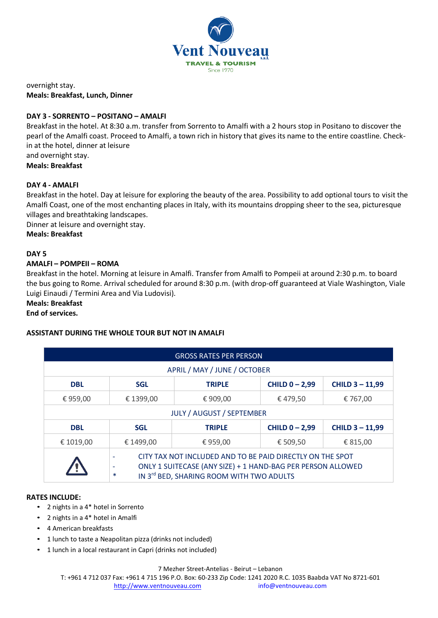

overnight stay. **Meals: Breakfast, Lunch, Dinner**

### **DAY 3 - SORRENTO – POSITANO – AMALFI**

Breakfast in the hotel. At 8:30 a.m. transfer from Sorrento to Amalfi with a 2 hours stop in Positano to discover the pearl of the Amalfi coast. Proceed to Amalfi, a town rich in history that gives its name to the entire coastline. Checkin at the hotel, dinner at leisure

and overnight stay.

**Meals: Breakfast**

#### **DAY 4 - AMALFI**

Breakfast in the hotel. Day at leisure for exploring the beauty of the area. Possibility to add optional tours to visit the Amalfi Coast, one of the most enchanting places in Italy, with its mountains dropping sheer to the sea, picturesque villages and breathtaking landscapes.

Dinner at leisure and overnight stay.

**Meals: Breakfast**

#### **DAY 5**

### **AMALFI – POMPEII – ROMA**

Breakfast in the hotel. Morning at leisure in Amalfi. Transfer from Amalfi to Pompeii at around 2:30 p.m. to board the bus going to Rome. Arrival scheduled for around 8:30 p.m. (with drop-off guaranteed at Viale Washington, Viale Luigi Einaudi / Termini Area and Via Ludovisi).

#### **Meals: Breakfast**

#### **End of services.**

#### **ASSISTANT DURING THE WHOLE TOUR BUT NOT IN AMALFI**

| <b>GROSS RATES PER PERSON</b>    |                                                                                                                                                                                |               |                  |                      |  |  |
|----------------------------------|--------------------------------------------------------------------------------------------------------------------------------------------------------------------------------|---------------|------------------|----------------------|--|--|
| APRIL / MAY / JUNE / OCTOBER     |                                                                                                                                                                                |               |                  |                      |  |  |
| <b>DBL</b>                       | <b>SGL</b>                                                                                                                                                                     | <b>TRIPLE</b> | CHILD $0 - 2,99$ | <b>CHILD 3-11,99</b> |  |  |
| € 959,00                         | € 1399,00                                                                                                                                                                      | € 909,00      | €479,50          | € 767,00             |  |  |
| <b>JULY / AUGUST / SEPTEMBER</b> |                                                                                                                                                                                |               |                  |                      |  |  |
| <b>DBL</b>                       | <b>SGL</b>                                                                                                                                                                     | <b>TRIPLE</b> | CHILD $0 - 2,99$ | <b>CHILD 3-11,99</b> |  |  |
| € 1019,00                        | € 1499,00                                                                                                                                                                      | €959,00       | € 509,50         | € 815,00             |  |  |
|                                  | CITY TAX NOT INCLUDED AND TO BE PAID DIRECTLY ON THE SPOT<br>ONLY 1 SUITECASE (ANY SIZE) + 1 HAND-BAG PER PERSON ALLOWED<br>IN 3rd BED, SHARING ROOM WITH TWO ADULTS<br>$\ast$ |               |                  |                      |  |  |

#### **RATES INCLUDE:**

- 2 nights in a 4\* hotel in Sorrento
- 2 nights in a 4\* hotel in Amalfi
- 4 American breakfasts
- 1 lunch to taste a Neapolitan pizza (drinks not included)
- 1 lunch in a local restaurant in Capri (drinks not included)

#### 7 Mezher Street-Antelias - Beirut – Lebanon